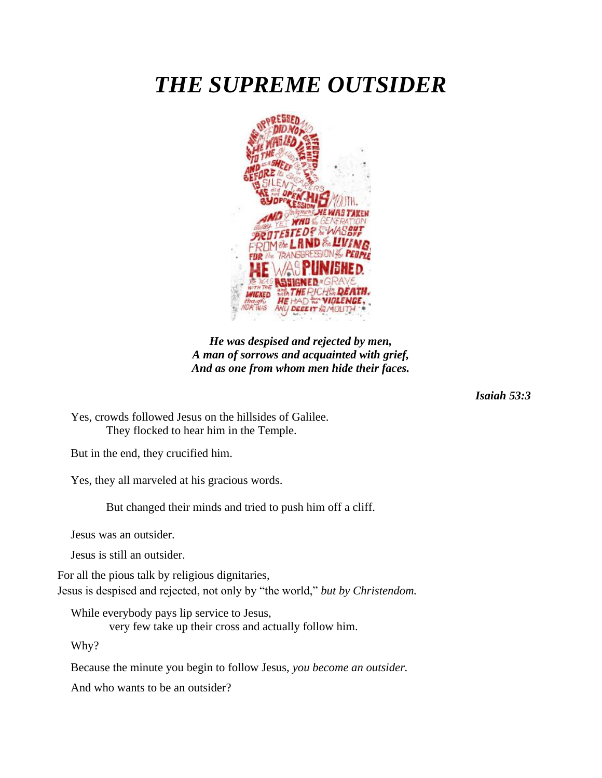## *THE SUPREME OUTSIDER*



*He was despised and rejected by men, A man of sorrows and acquainted with grief, And as one from whom men hide their faces.*

*Isaiah 53:3*

Yes, crowds followed Jesus on the hillsides of Galilee. They flocked to hear him in the Temple.

But in the end, they crucified him.

Yes, they all marveled at his gracious words.

But changed their minds and tried to push him off a cliff.

Jesus was an outsider.

Jesus is still an outsider.

For all the pious talk by religious dignitaries, Jesus is despised and rejected, not only by "the world," *but by Christendom.* 

While everybody pays lip service to Jesus,

very few take up their cross and actually follow him.

Why?

Because the minute you begin to follow Jesus, *you become an outsider.* 

And who wants to be an outsider?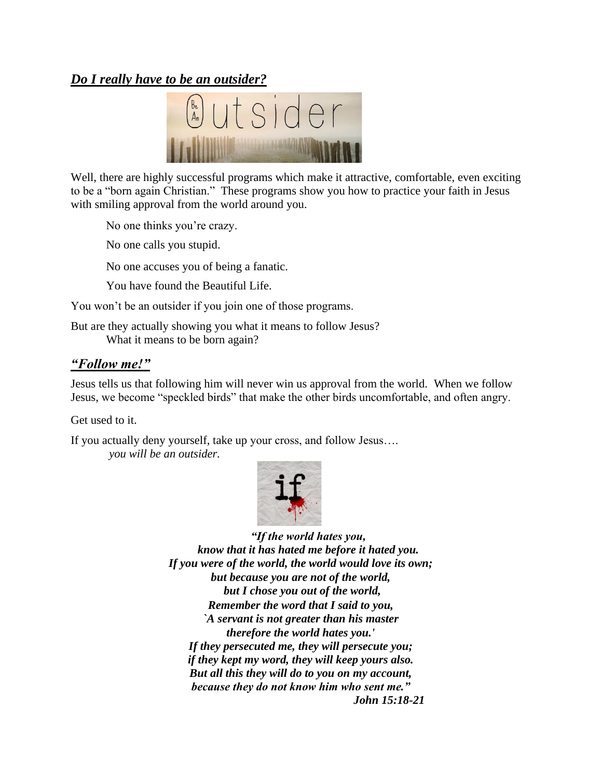## *Do I really have to be an outsider?*



Well, there are highly successful programs which make it attractive, comfortable, even exciting to be a "born again Christian." These programs show you how to practice your faith in Jesus with smiling approval from the world around you.

No one thinks you're crazy.

No one calls you stupid.

No one accuses you of being a fanatic.

You have found the Beautiful Life.

You won't be an outsider if you join one of those programs.

But are they actually showing you what it means to follow Jesus? What it means to be born again?

## *"Follow me!"*

Jesus tells us that following him will never win us approval from the world. When we follow Jesus, we become "speckled birds" that make the other birds uncomfortable, and often angry.

Get used to it.

If you actually deny yourself, take up your cross, and follow Jesus….

*you will be an outsider.*



*"If the world hates you, know that it has hated me before it hated you. If you were of the world, the world would love its own; but because you are not of the world, but I chose you out of the world, Remember the word that I said to you, `A servant is not greater than his master therefore the world hates you.' If they persecuted me, they will persecute you; if they kept my word, they will keep yours also. But all this they will do to you on my account, because they do not know him who sent me." John 15:18-21*